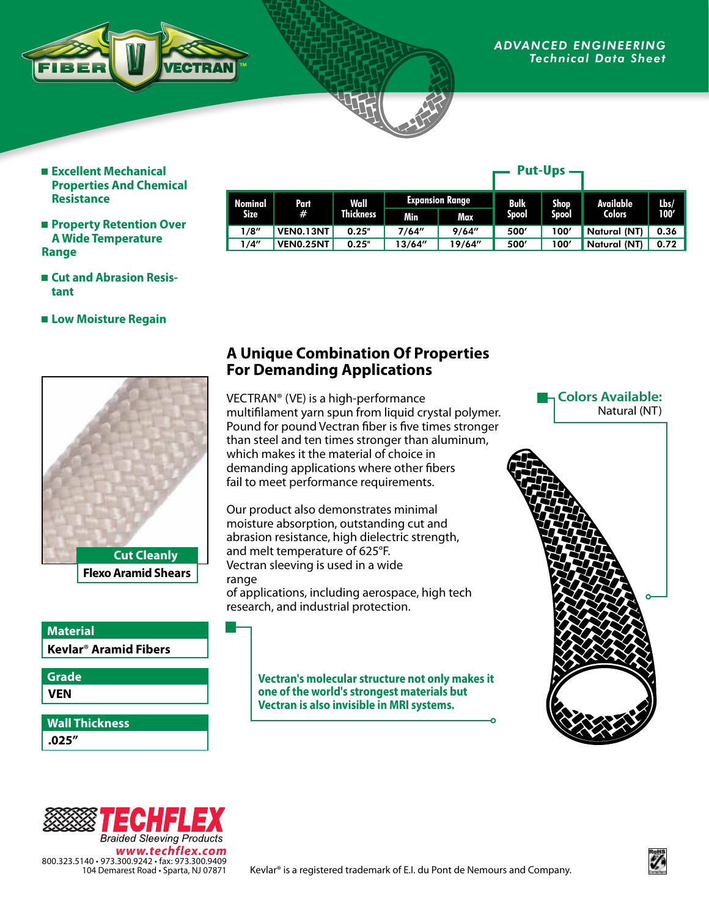

#### *ADVANCED ENGINEERING Technical Data Sheet*

**Put-Ups**

- **Excellent Mechanical Properties And Chemical Resistance**
- **Property Retention Over A Wide Temperature Range**

|                        |                  |                          |                        |        | r ut-vps    |              |               |         |
|------------------------|------------------|--------------------------|------------------------|--------|-------------|--------------|---------------|---------|
| Nominal<br><b>Size</b> | Part<br>#        | Wall<br><b>Thickness</b> | <b>Expansion Range</b> |        | <b>Bulk</b> | <b>Shop</b>  | Available     | $l$ bs/ |
|                        |                  |                          | Min                    | Max    | Spool       | <b>Spool</b> | <b>Colors</b> | 100'    |
| 1/8''                  | VEN0.13NT        | 0.25"                    | 7/64"                  | 9/64'' | 500'        | 100'         | Natural (NT)  | 0.36    |
| 1/4″                   | <b>VENO.25NT</b> | 0.25"                    | 13/64"                 | 19/64" | 500'        | 100'         | Natural (NT)  | 0.72    |

- Cut and Abrasion Resis**tant**
- **Low Moisture Regain**



**Flexo Aramid Shears**

## **Kevlar**® **Aramid Fibers Material**

**VEN Grade**

**.025" Wall Thickness**

## **A Unique Combination Of Properties For Demanding Applications**

VECTRAN® (VE) is a high-performance multifilament yarn spun from liquid crystal polymer. Pound for pound Vectran fiber is five times stronger than steel and ten times stronger than aluminum, which makes it the material of choice in demanding applications where other fibers fail to meet performance requirements.

Our product also demonstrates minimal moisture absorption, outstanding cut and abrasion resistance, high dielectric strength, and melt temperature of 625°F. Vectran sleeving is used in a wide range of applications, including aerospace, high tech research, and industrial protection.

> **Vectran's molecular structure not only makes it one of the world's strongest materials but Vectran is also invisible in MRI systems.**

### **Colors Available:** Natural (NT)